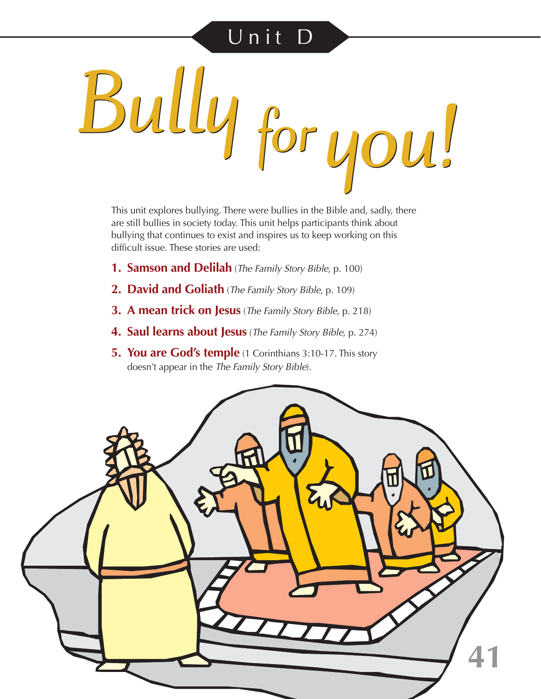### Unit D



This unit explores bullying. There were bullies in the Bible and, sadly, there are still bullies in society today. This unit helps participants think about bullying that continues to exist and inspires us to keep working on this difficult issue. These stories are used:

- 1. Samson and Delilah (The Family Story Bible, p. 100)
- **2. David and Goliath** (The Family Story Bible, p. 109)
- **3. A mean trick on Jesus** (The Family Story Bible, p. 218)
- **4. Saul learns about Jesus** (The Family Story Bible, p. 274)
- **5. You are God's temple** (1 Corinthians 3:10-17. This story doesn't appear in the The Family Story Bible).

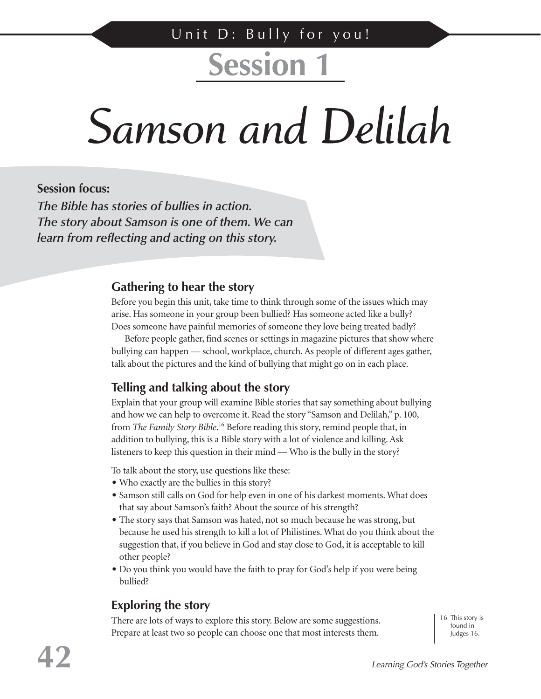# *Samson and Delilah*

#### **Session focus:**

*The Bible has stories of bullies in action. The story about Samson is one of them. We can learn from reflecting and acting on this story.* 

#### **Gathering to hear the story**

Before you begin this unit, take time to think through some of the issues which may arise. Has someone in your group been bullied? Has someone acted like a bully? Does someone have painful memories of someone they love being treated badly?

Before people gather, find scenes or settings in magazine pictures that show where bullying can happen — school, workplace, church. As people of different ages gather, talk about the pictures and the kind of bullying that might go on in each place.

#### **Telling and talking about the story**

Explain that your group will examine Bible stories that say something about bullying and how we can help to overcome it. Read the story "Samson and Delilah," p. 100, from *The Family Story Bible*. 16 Before reading this story, remind people that, in addition to bullying, this is a Bible story with a lot of violence and killing. Ask listeners to keep this question in their mind — Who is the bully in the story?

To talk about the story, use questions like these:

- Who exactly are the bullies in this story?
- Samson still calls on God for help even in one of his darkest moments. What does that say about Samson's faith? About the source of his strength?
- The story says that Samson was hated, not so much because he was strong, but because he used his strength to kill a lot of Philistines. What do you think about the suggestion that, if you believe in God and stay close to God, it is acceptable to kill other people?
- Do you think you would have the faith to pray for God's help if you were being bullied?

#### **Exploring the story**

There are lots of ways to explore this story. Below are some suggestions.  $\frac{16 \text{ This story is found in}}{6 \text{ und in}}$ Prepare at least two so people can choose one that most interests them.  $\vert$  Judges 16.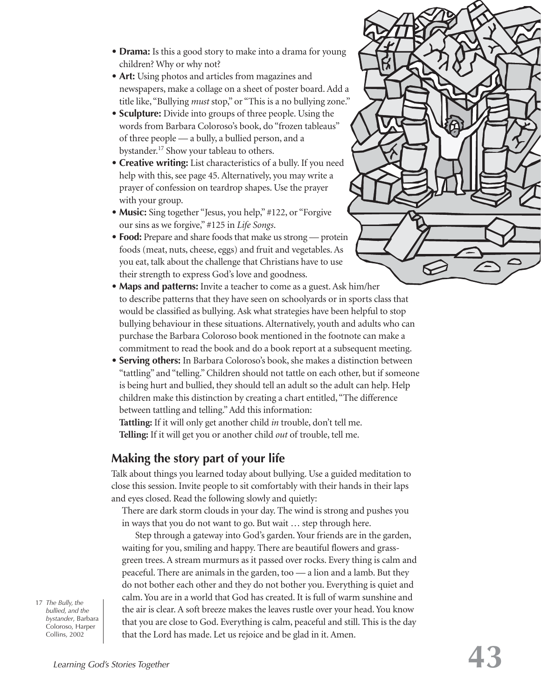- **Drama:** Is this a good story to make into a drama for young children? Why or why not?
- **Art:** Using photos and articles from magazines and newspapers, make a collage on a sheet of poster board. Add a title like, "Bullying *must* stop," or "This is a no bullying zone."
- **Sculpture:** Divide into groups of three people. Using the words from Barbara Coloroso's book, do "frozen tableaus" of three people — a bully, a bullied person, and a bystander.<sup>17</sup> Show your tableau to others.
- **Creative writing:** List characteristics of a bully. If you need help with this, see page 45. Alternatively, you may write a prayer of confession on teardrop shapes. Use the prayer with your group.
- **Music:** Sing together "Jesus, you help," #122, or "Forgive" our sins as we forgive," #125 in *Life Songs*.
- **Food:** Prepare and share foods that make us strong protein foods (meat, nuts, cheese, eggs) and fruit and vegetables. As you eat, talk about the challenge that Christians have to use their strength to express God's love and goodness.



- **Maps and patterns:** Invite a teacher to come as a guest. Ask him/her to describe patterns that they have seen on schoolyards or in sports class that would be classified as bullying. Ask what strategies have been helpful to stop bullying behaviour in these situations. Alternatively, youth and adults who can purchase the Barbara Coloroso book mentioned in the footnote can make a commitment to read the book and do a book report at a subsequent meeting.
- **Serving others:** In Barbara Coloroso's book, she makes a distinction between "tattling" and "telling." Children should not tattle on each other, but if someone is being hurt and bullied, they should tell an adult so the adult can help. Help children make this distinction by creating a chart entitled, "The difference between tattling and telling." Add this information:

**Tattling:** If it will only get another child *in* trouble, don't tell me. **Telling:** If it will get you or another child *out* of trouble, tell me.

#### **Making the story part of your life**

Talk about things you learned today about bullying. Use a guided meditation to close this session. Invite people to sit comfortably with their hands in their laps and eyes closed. Read the following slowly and quietly:

There are dark storm clouds in your day. The wind is strong and pushes you in ways that you do not want to go. But wait … step through here.

Step through a gateway into God's garden. Your friends are in the garden, waiting for you, smiling and happy. There are beautiful flowers and grassgreen trees. A stream murmurs as it passed over rocks. Every thing is calm and peaceful. There are animals in the garden, too — a lion and a lamb. But they do not bother each other and they do not bother you. Everything is quiet and calm. You are in a world that God has created. It is full of warm sunshine and the air is clear. A soft breeze makes the leaves rustle over your head. You know that you are close to God. Everything is calm, peaceful and still. This is the day that the Lord has made. Let us rejoice and be glad in it. Amen.

17 *The Bully, the bullied, and the bystander*, Barbara Coloroso, Harper Collins, 2002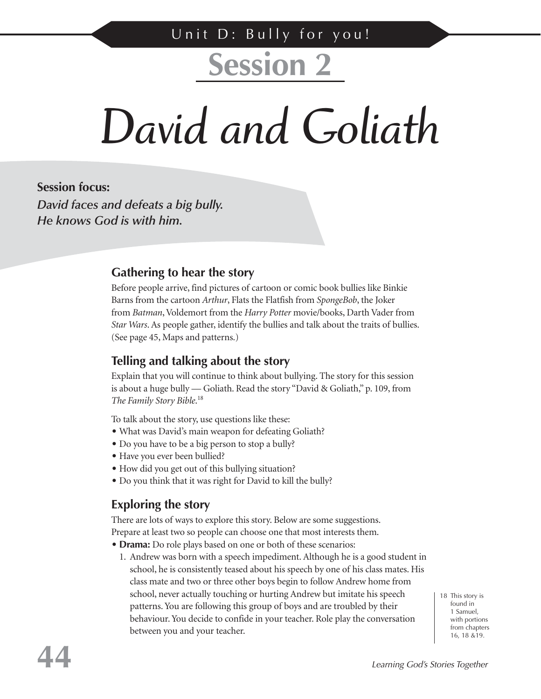# *David and Goliath*

#### **Session focus:**

*David faces and defeats a big bully. He knows God is with him.* 

#### **Gathering to hear the story**

Before people arrive, find pictures of cartoon or comic book bullies like Binkie Barns from the cartoon *Arthur*, Flats the Flatfish from *SpongeBob*, the Joker from *Batman*, Voldemort from the *Harry Potter* movie/books, Darth Vader from *Star Wars*. As people gather, identify the bullies and talk about the traits of bullies. (See page 45, Maps and patterns.)

#### **Telling and talking about the story**

Explain that you will continue to think about bullying. The story for this session is about a huge bully — Goliath. Read the story "David & Goliath," p. 109, from *The Family Story Bible*. 18

To talk about the story, use questions like these:

- What was David's main weapon for defeating Goliath?
- Do you have to be a big person to stop a bully?
- Have you ever been bullied?
- How did you get out of this bullying situation?
- Do you think that it was right for David to kill the bully?

#### **Exploring the story**

There are lots of ways to explore this story. Below are some suggestions.

- Prepare at least two so people can choose one that most interests them. • **Drama:** Do role plays based on one or both of these scenarios:
	- 1. Andrew was born with a speech impediment. Although he is a good student in school, he is consistently teased about his speech by one of his class mates. His class mate and two or three other boys begin to follow Andrew home from school, never actually touching or hurting Andrew but imitate his speech patterns. You are following this group of boys and are troubled by their behaviour. You decide to confide in your teacher. Role play the conversation between you and your teacher.

18 This story is found in 1 Samuel, with portions from chapters 16, 18 &19.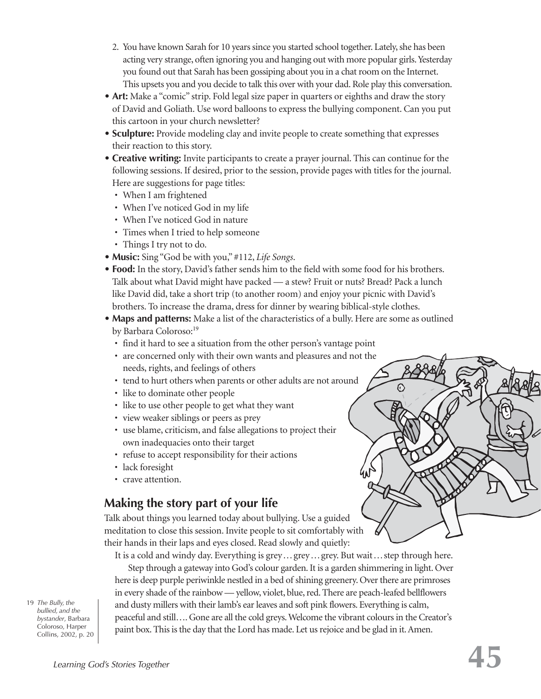- 2. You have known Sarah for 10 years since you started school together. Lately, she has been acting very strange, often ignoring you and hanging out with more popular girls. Yesterday you found out that Sarah has been gossiping about you in a chat room on the Internet. This upsets you and you decide to talk this over with your dad. Role play this conversation.
- Art: Make a "comic" strip. Fold legal size paper in quarters or eighths and draw the story of David and Goliath. Use word balloons to express the bullying component. Can you put this cartoon in your church newsletter?
- **Sculpture:** Provide modeling clay and invite people to create something that expresses their reaction to this story.
- **Creative writing:** Invite participants to create a prayer journal. This can continue for the following sessions. If desired, prior to the session, provide pages with titles for the journal. Here are suggestions for page titles:
	- When I am frightened
	- When I've noticed God in my life
	- When I've noticed God in nature
	- Times when I tried to help someone
	- Things I try not to do.
- **Music:** Sing "God be with you," #112, *Life Songs*.
- **Food:** In the story, David's father sends him to the field with some food for his brothers. Talk about what David might have packed — a stew? Fruit or nuts? Bread? Pack a lunch like David did, take a short trip (to another room) and enjoy your picnic with David's brothers. To increase the drama, dress for dinner by wearing biblical-style clothes.
- **Maps and patterns:** Make a list of the characteristics of a bully. Here are some as outlined by Barbara Coloroso:<sup>19</sup>
	- find it hard to see a situation from the other person's vantage point
	- are concerned only with their own wants and pleasures and not the needs, rights, and feelings of others
	- tend to hurt others when parents or other adults are not around
	- like to dominate other people
	- like to use other people to get what they want
	- view weaker siblings or peers as prey
	- use blame, criticism, and false allegations to project their own inadequacies onto their target
	- refuse to accept responsibility for their actions
	- lack foresight
	- • crave attention.

#### **Making the story part of your life**

Talk about things you learned today about bullying. Use a guided meditation to close this session. Invite people to sit comfortably with their hands in their laps and eyes closed. Read slowly and quietly:

It is a cold and windy day. Everything is grey…grey…grey. But wait…step through here.

Step through a gateway into God's colour garden. It is a garden shimmering in light. Over here is deep purple periwinkle nestled in a bed of shining greenery. Over there are primroses in every shade of the rainbow — yellow, violet, blue, red. There are peach-leafed bellflowers and dusty millers with their lamb's ear leaves and soft pink flowers. Everything is calm, peaceful and still…. Gone are all the cold greys. Welcome the vibrant colours in the Creator's paint box. This is the day that the Lord has made. Let us rejoice and be glad in it. Amen.

19 *The Bully, the bullied, and the bystander*, Barbara Coloroso, Harper Collins, 2002, p. 20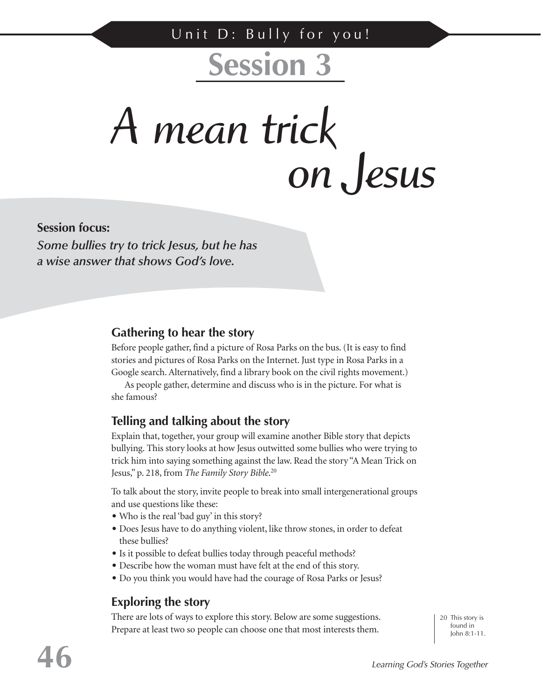## *A mean trick on Jesus*

**Session focus:**  *Some bullies try to trick Jesus, but he has a wise answer that shows God's love.* 

#### **Gathering to hear the story**

Before people gather, find a picture of Rosa Parks on the bus. (It is easy to find stories and pictures of Rosa Parks on the Internet. Just type in Rosa Parks in a Google search. Alternatively, find a library book on the civil rights movement.)

As people gather, determine and discuss who is in the picture. For what is she famous?

#### **Telling and talking about the story**

Explain that, together, your group will examine another Bible story that depicts bullying. This story looks at how Jesus outwitted some bullies who were trying to trick him into saying something against the law. Read the story "A Mean Trick on Jesus," p. 218, from *The Family Story Bible*. 20

To talk about the story, invite people to break into small intergenerational groups and use questions like these:

- Who is the real 'bad guy' in this story?
- Does Jesus have to do anything violent, like throw stones, in order to defeat these bullies?
- Is it possible to defeat bullies today through peaceful methods?
- Describe how the woman must have felt at the end of this story.
- Do you think you would have had the courage of Rosa Parks or Jesus?

#### **Exploring the story**

There are lots of ways to explore this story. Below are some suggestions. 20 This story is Prepare at least two so people can choose one that most interests them.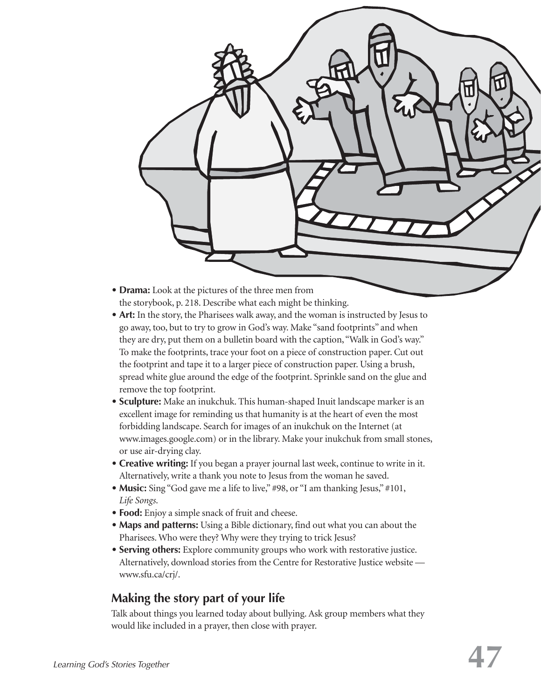

- **Drama:** Look at the pictures of the three men from the storybook, p. 218. Describe what each might be thinking.
- **Art:** In the story, the Pharisees walk away, and the woman is instructed by Jesus to go away, too, but to try to grow in God's way. Make "sand footprints" and when they are dry, put them on a bulletin board with the caption, "Walk in God's way." To make the footprints, trace your foot on a piece of construction paper. Cut out the footprint and tape it to a larger piece of construction paper. Using a brush, spread white glue around the edge of the footprint. Sprinkle sand on the glue and remove the top footprint.
- **Sculpture:** Make an inukchuk. This human-shaped Inuit landscape marker is an excellent image for reminding us that humanity is at the heart of even the most forbidding landscape. Search for images of an inukchuk on the Internet (at www.images.google.com) or in the library. Make your inukchuk from small stones, or use air-drying clay.
- **Creative writing:** If you began a prayer journal last week, continue to write in it. Alternatively, write a thank you note to Jesus from the woman he saved.
- **Music:** Sing "God gave me a life to live," #98, or "I am thanking Jesus," #101, *Life Songs*.
- **Food:** Enjoy a simple snack of fruit and cheese.
- **Maps and patterns:** Using a Bible dictionary, find out what you can about the Pharisees. Who were they? Why were they trying to trick Jesus?
- **Serving others:** Explore community groups who work with restorative justice. Alternatively, download stories from the Centre for Restorative Justice website www.sfu.ca/crj/.

#### **Making the story part of your life**

Talk about things you learned today about bullying. Ask group members what they would like included in a prayer, then close with prayer.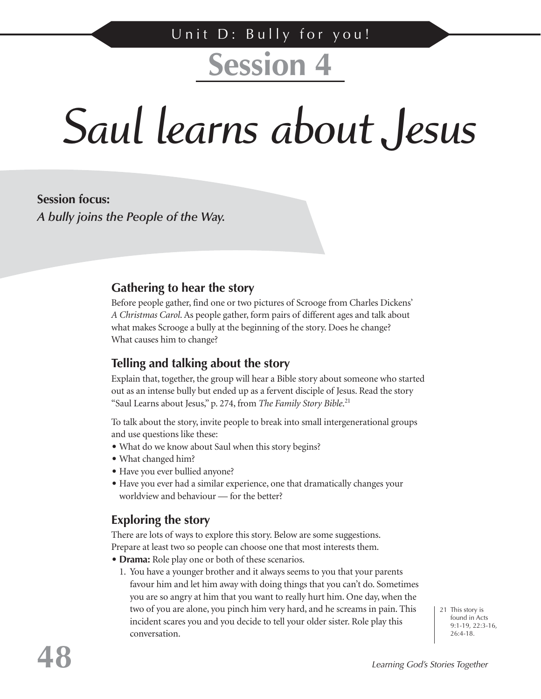# *Saul learns about Jesus*

#### **Session focus:**

*A bully joins the People of the Way.* 

#### **Gathering to hear the story**

Before people gather, find one or two pictures of Scrooge from Charles Dickens' *A Christmas Carol*. As people gather, form pairs of different ages and talk about what makes Scrooge a bully at the beginning of the story. Does he change? What causes him to change?

#### **Telling and talking about the story**

Explain that, together, the group will hear a Bible story about someone who started out as an intense bully but ended up as a fervent disciple of Jesus. Read the story "Saul Learns about Jesus," p. 274, from *The Family Story Bible*. 21

To talk about the story, invite people to break into small intergenerational groups and use questions like these:

- What do we know about Saul when this story begins?
- What changed him?
- Have you ever bullied anyone?
- Have you ever had a similar experience, one that dramatically changes your worldview and behaviour — for the better?

#### **Exploring the story**

There are lots of ways to explore this story. Below are some suggestions. Prepare at least two so people can choose one that most interests them.

• **Drama:** Role play one or both of these scenarios.

1. You have a younger brother and it always seems to you that your parents favour him and let him away with doing things that you can't do. Sometimes you are so angry at him that you want to really hurt him. One day, when the two of you are alone, you pinch him very hard, and he screams in pain. This 21 This story is incident scares you and you decide to tell your older sister. Role play this  $\frac{\text{bound in Acts}}{9:1-19, 22:3-16}$ conversation. 26:4-18.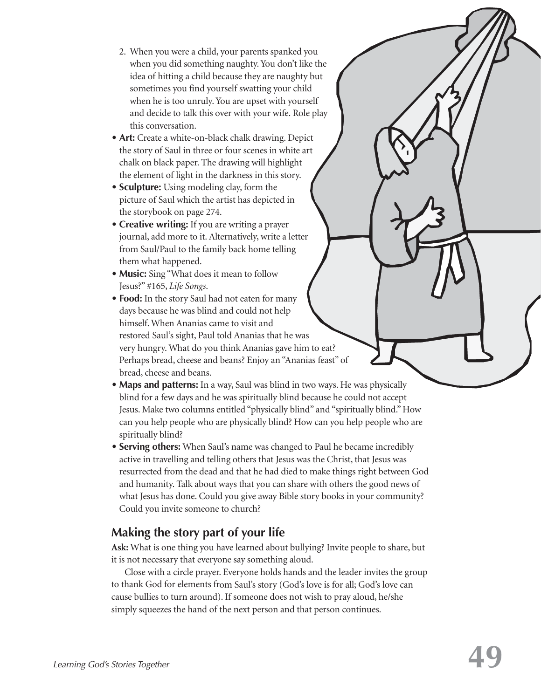- 2. When you were a child, your parents spanked you when you did something naughty. You don't like the idea of hitting a child because they are naughty but sometimes you find yourself swatting your child when he is too unruly. You are upset with yourself and decide to talk this over with your wife. Role play this conversation.
- **Art:** Create a white-on-black chalk drawing. Depict the story of Saul in three or four scenes in white art chalk on black paper. The drawing will highlight the element of light in the darkness in this story.
- **Sculpture:** Using modeling clay, form the picture of Saul which the artist has depicted in the storybook on page 274.
- **Creative writing:** If you are writing a prayer journal, add more to it. Alternatively, write a letter from Saul/Paul to the family back home telling them what happened.
- **Music:** Sing "What does it mean to follow Jesus?" #165, *Life Songs*.
- **Food:** In the story Saul had not eaten for many days because he was blind and could not help himself. When Ananias came to visit and restored Saul's sight, Paul told Ananias that he was very hungry. What do you think Ananias gave him to eat? Perhaps bread, cheese and beans? Enjoy an "Ananias feast" of bread, cheese and beans.
- **Maps and patterns:** In a way, Saul was blind in two ways. He was physically blind for a few days and he was spiritually blind because he could not accept Jesus. Make two columns entitled "physically blind" and "spiritually blind." How can you help people who are physically blind? How can you help people who are spiritually blind?
- **Serving others:** When Saul's name was changed to Paul he became incredibly active in travelling and telling others that Jesus was the Christ, that Jesus was resurrected from the dead and that he had died to make things right between God and humanity. Talk about ways that you can share with others the good news of what Jesus has done. Could you give away Bible story books in your community? Could you invite someone to church?

#### **Making the story part of your life**

**Ask:** What is one thing you have learned about bullying? Invite people to share, but it is not necessary that everyone say something aloud.

Close with a circle prayer. Everyone holds hands and the leader invites the group to thank God for elements from Saul's story (God's love is for all; God's love can cause bullies to turn around). If someone does not wish to pray aloud, he/she simply squeezes the hand of the next person and that person continues.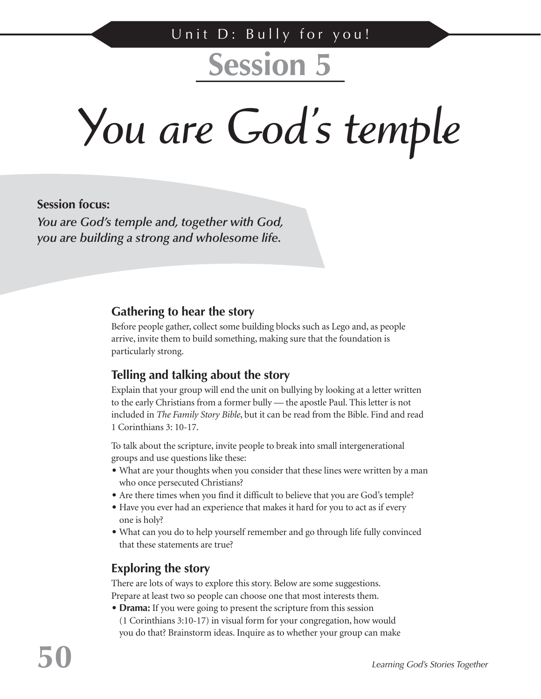# *You are God's temple*

#### **Session focus:**

*You are God's temple and, together with God, you are building a strong and wholesome life.* 

#### **Gathering to hear the story**

Before people gather, collect some building blocks such as Lego and, as people arrive, invite them to build something, making sure that the foundation is particularly strong.

#### **Telling and talking about the story**

Explain that your group will end the unit on bullying by looking at a letter written to the early Christians from a former bully — the apostle Paul. This letter is not included in *The Family Story Bible*, but it can be read from the Bible. Find and read 1 Corinthians 3: 10-17.

To talk about the scripture, invite people to break into small intergenerational groups and use questions like these:

- What are your thoughts when you consider that these lines were written by a man who once persecuted Christians?
- Are there times when you find it difficult to believe that you are God's temple?
- Have you ever had an experience that makes it hard for you to act as if every one is holy?
- What can you do to help yourself remember and go through life fully convinced that these statements are true?

#### **Exploring the story**

There are lots of ways to explore this story. Below are some suggestions. Prepare at least two so people can choose one that most interests them.

• **Drama:** If you were going to present the scripture from this session (1 Corinthians 3:10-17) in visual form for your congregation, how would